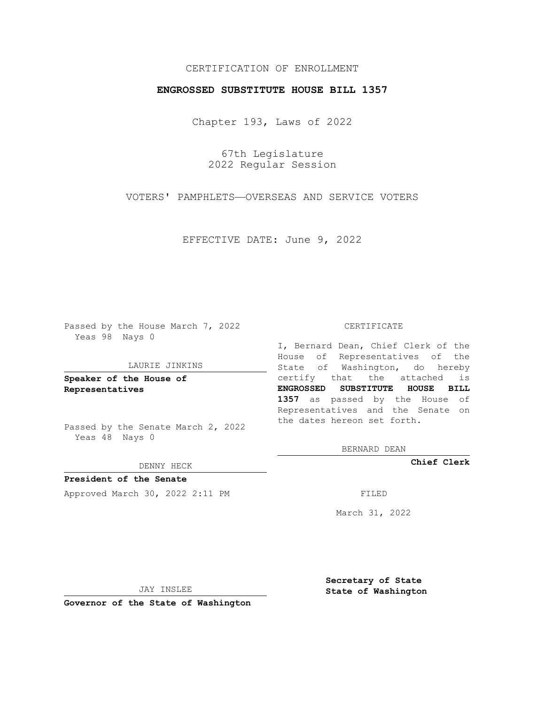# CERTIFICATION OF ENROLLMENT

## **ENGROSSED SUBSTITUTE HOUSE BILL 1357**

Chapter 193, Laws of 2022

67th Legislature 2022 Regular Session

VOTERS' PAMPHLETS—OVERSEAS AND SERVICE VOTERS

EFFECTIVE DATE: June 9, 2022

Passed by the House March 7, 2022 Yeas 98 Nays 0

#### LAURIE JINKINS

**Speaker of the House of Representatives**

Passed by the Senate March 2, 2022 Yeas 48 Nays 0

#### DENNY HECK

**President of the Senate** Approved March 30, 2022 2:11 PM

#### CERTIFICATE

I, Bernard Dean, Chief Clerk of the House of Representatives of the State of Washington, do hereby certify that the attached is **ENGROSSED SUBSTITUTE HOUSE BILL 1357** as passed by the House of Representatives and the Senate on the dates hereon set forth.

BERNARD DEAN

**Chief Clerk**

March 31, 2022

JAY INSLEE

**Governor of the State of Washington**

**Secretary of State State of Washington**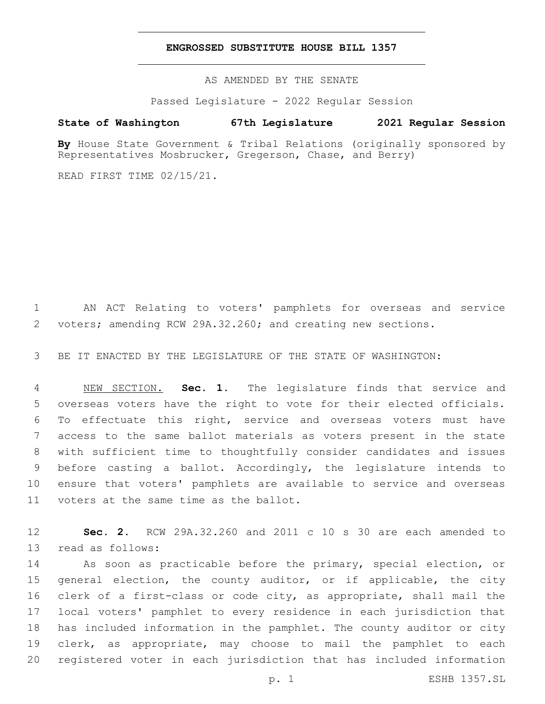### **ENGROSSED SUBSTITUTE HOUSE BILL 1357**

AS AMENDED BY THE SENATE

Passed Legislature - 2022 Regular Session

# **State of Washington 67th Legislature 2021 Regular Session**

By House State Government & Tribal Relations (originally sponsored by Representatives Mosbrucker, Gregerson, Chase, and Berry)

READ FIRST TIME 02/15/21.

 AN ACT Relating to voters' pamphlets for overseas and service voters; amending RCW 29A.32.260; and creating new sections.

BE IT ENACTED BY THE LEGISLATURE OF THE STATE OF WASHINGTON:

 NEW SECTION. **Sec. 1.** The legislature finds that service and overseas voters have the right to vote for their elected officials. To effectuate this right, service and overseas voters must have access to the same ballot materials as voters present in the state with sufficient time to thoughtfully consider candidates and issues before casting a ballot. Accordingly, the legislature intends to ensure that voters' pamphlets are available to service and overseas voters at the same time as the ballot.

 **Sec. 2.** RCW 29A.32.260 and 2011 c 10 s 30 are each amended to 13 read as follows:

 As soon as practicable before the primary, special election, or 15 general election, the county auditor, or if applicable, the city clerk of a first-class or code city, as appropriate, shall mail the local voters' pamphlet to every residence in each jurisdiction that has included information in the pamphlet. The county auditor or city clerk, as appropriate, may choose to mail the pamphlet to each registered voter in each jurisdiction that has included information

p. 1 ESHB 1357.SL